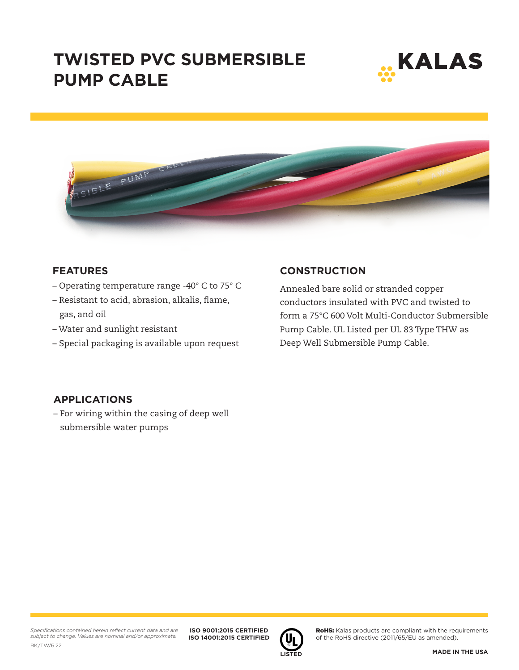# **TWISTED PVC SUBMERSIBLE PUMP CABLE**





#### **FEATURES**

- Operating temperature range -40° C to 75° C
- Resistant to acid, abrasion, alkalis, flame, gas, and oil
- Water and sunlight resistant
- Special packaging is available upon request

### **CONSTRUCTION**

Annealed bare solid or stranded copper conductors insulated with PVC and twisted to form a 75°C 600 Volt Multi-Conductor Submersible Pump Cable. UL Listed per UL 83 Type THW as Deep Well Submersible Pump Cable.

### **APPLICATIONS**

– For wiring within the casing of deep well submersible water pumps

**ISO 9001:2015 CERTIFIED ISO 14001:2015 CERTIFIED**



RoHS: Kalas products are compliant with the requirements of the RoHS directive (2011/65/EU as amended).